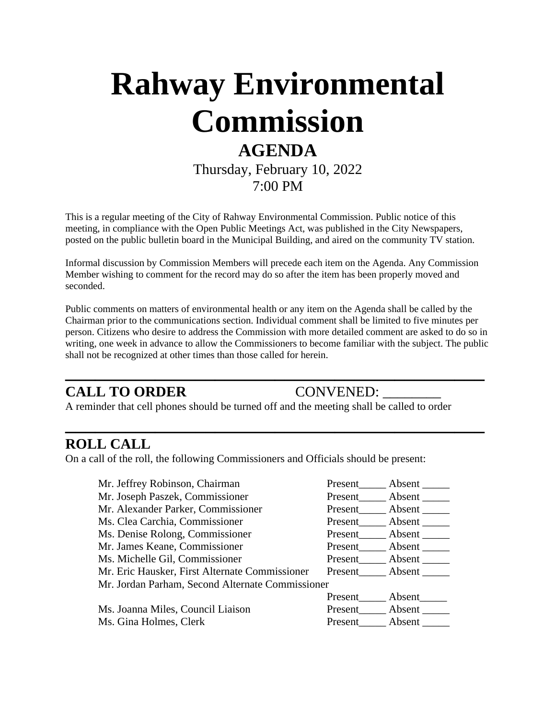# **Rahway Environmental Commission AGENDA**

Thursday, February 10, 2022 7:00 PM

This is a regular meeting of the City of Rahway Environmental Commission. Public notice of this meeting, in compliance with the Open Public Meetings Act, was published in the City Newspapers, posted on the public bulletin board in the Municipal Building, and aired on the community TV station.

Informal discussion by Commission Members will precede each item on the Agenda. Any Commission Member wishing to comment for the record may do so after the item has been properly moved and seconded.

Public comments on matters of environmental health or any item on the Agenda shall be called by the Chairman prior to the communications section. Individual comment shall be limited to five minutes per person. Citizens who desire to address the Commission with more detailed comment are asked to do so in writing, one week in advance to allow the Commissioners to become familiar with the subject. The public shall not be recognized at other times than those called for herein.

**\_\_\_\_\_\_\_\_\_\_\_\_\_\_\_\_\_\_\_\_\_\_\_\_\_\_\_\_\_\_\_\_\_\_\_\_\_\_\_\_\_\_**

**\_\_\_\_\_\_\_\_\_\_\_\_\_\_\_\_\_\_\_\_\_\_\_\_\_\_\_\_\_\_\_\_\_\_\_\_\_\_\_\_\_\_**

### **CALL TO ORDER CONVENED:**

A reminder that cell phones should be turned off and the meeting shall be called to order

#### **ROLL CALL**

On a call of the roll, the following Commissioners and Officials should be present:

| Mr. Jeffrey Robinson, Chairman                   | Present | Absent        |
|--------------------------------------------------|---------|---------------|
| Mr. Joseph Paszek, Commissioner                  | Present | Absent $\_\_$ |
| Mr. Alexander Parker, Commissioner               | Present | Absent        |
| Ms. Clea Carchia, Commissioner                   | Present | Absent        |
| Ms. Denise Rolong, Commissioner                  | Present | Absent        |
| Mr. James Keane, Commissioner                    | Present | Absent        |
| Ms. Michelle Gil, Commissioner                   | Present | Absent        |
| Mr. Eric Hausker, First Alternate Commissioner   | Present | Absent        |
| Mr. Jordan Parham, Second Alternate Commissioner |         |               |
|                                                  | Present | Absent        |
| Ms. Joanna Miles, Council Liaison                | Present | Absent        |
| Ms. Gina Holmes, Clerk                           | Present | Absent        |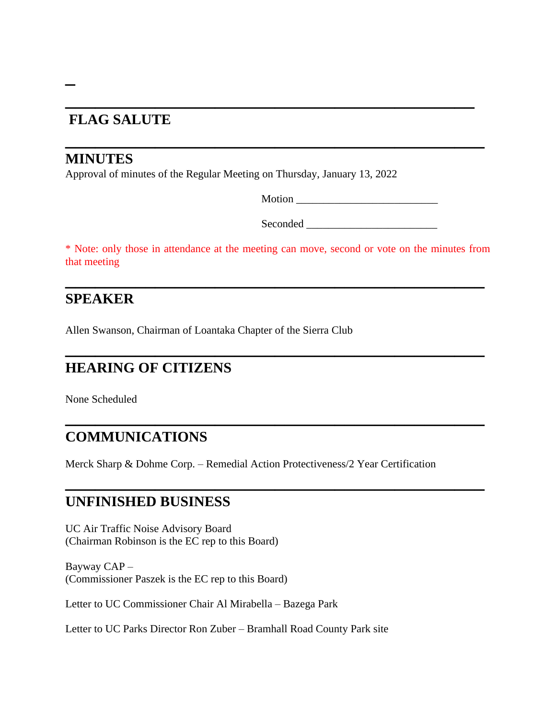# **\_\_\_\_\_\_\_\_\_\_\_\_\_\_\_\_\_\_\_\_\_\_\_\_\_\_\_\_\_\_\_\_\_\_\_\_\_\_\_\_\_ FLAG SALUTE**

#### **MINUTES**

**\_**

Approval of minutes of the Regular Meeting on Thursday, January 13, 2022

Motion \_\_\_\_\_\_\_\_\_\_\_\_\_\_\_\_\_\_\_\_\_\_\_\_\_\_

Seconded \_\_\_\_\_\_\_\_\_\_\_\_\_\_\_\_\_\_\_\_\_\_\_\_

\* Note: only those in attendance at the meeting can move, second or vote on the minutes from that meeting

**\_\_\_\_\_\_\_\_\_\_\_\_\_\_\_\_\_\_\_\_\_\_\_\_\_\_\_\_\_\_\_\_\_\_\_\_\_\_\_\_\_\_**

**\_\_\_\_\_\_\_\_\_\_\_\_\_\_\_\_\_\_\_\_\_\_\_\_\_\_\_\_\_\_\_\_\_\_\_\_\_\_\_\_\_\_**

**\_\_\_\_\_\_\_\_\_\_\_\_\_\_\_\_\_\_\_\_\_\_\_\_\_\_\_\_\_\_\_\_\_\_\_\_\_\_\_\_\_\_**

**\_\_\_\_\_\_\_\_\_\_\_\_\_\_\_\_\_\_\_\_\_\_\_\_\_\_\_\_\_\_\_\_\_\_\_\_\_\_\_\_\_\_**

**\_\_\_\_\_\_\_\_\_\_\_\_\_\_\_\_\_\_\_\_\_\_\_\_\_\_\_\_\_\_\_\_\_\_\_\_\_\_\_\_\_\_**

#### **SPEAKER**

Allen Swanson, Chairman of Loantaka Chapter of the Sierra Club

#### **HEARING OF CITIZENS**

None Scheduled

### **COMMUNICATIONS**

Merck Sharp & Dohme Corp. – Remedial Action Protectiveness/2 Year Certification

#### **UNFINISHED BUSINESS**

UC Air Traffic Noise Advisory Board (Chairman Robinson is the EC rep to this Board)

Bayway CAP – (Commissioner Paszek is the EC rep to this Board)

Letter to UC Commissioner Chair Al Mirabella – Bazega Park

Letter to UC Parks Director Ron Zuber – Bramhall Road County Park site